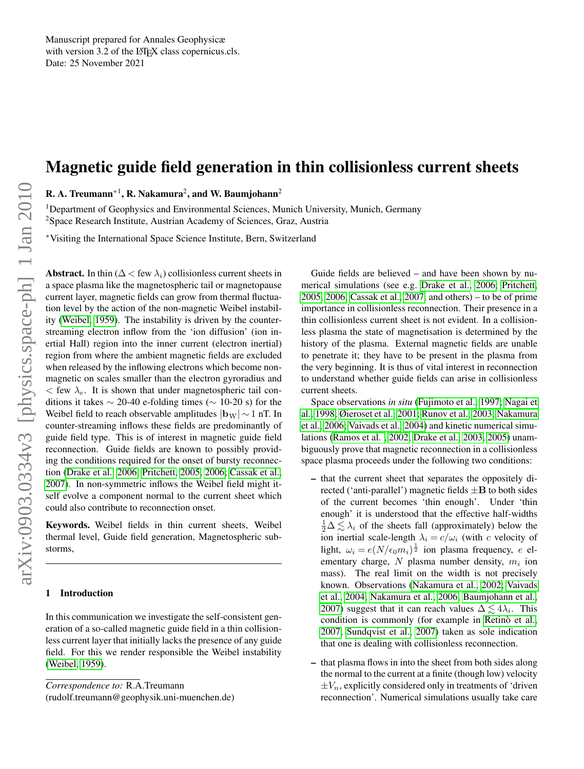# Magnetic guide field generation in thin collisionless current sheets

R. A. Treumann $^{*1}$ , R. Nakamura $^{2}$ , and W. Baumjohann $^{2}$ 

<sup>1</sup>Department of Geophysics and Environmental Sciences, Munich University, Munich, Germany <sup>2</sup>Space Research Institute, Austrian Academy of Sciences, Graz, Austria

<sup>∗</sup>Visiting the International Space Science Institute, Bern, Switzerland

Abstract. In thin ( $\Delta <$  few  $\lambda_i$ ) collisionless current sheets in a space plasma like the magnetospheric tail or magnetopause current layer, magnetic fields can grow from thermal fluctuation level by the action of the non-magnetic Weibel instability [\(Weibel, 1959\)](#page-8-0). The instability is driven by the counterstreaming electron inflow from the 'ion diffusion' (ion inertial Hall) region into the inner current (electron inertial) region from where the ambient magnetic fields are excluded when released by the inflowing electrons which become nonmagnetic on scales smaller than the electron gyroradius and  $<$  few  $\lambda_e$ . It is shown that under magnetospheric tail conditions it takes  $\sim$  20-40 e-folding times ( $\sim$  10-20 s) for the Weibel field to reach observable amplitudes  $|{\bf b}_{W}| \sim 1$  nT. In counter-streaming inflows these fields are predominantly of guide field type. This is of interest in magnetic guide field reconnection. Guide fields are known to possibly providing the conditions required for the onset of bursty reconnection [\(Drake et al., 2006;](#page-8-1) [Pritchett, 2005,](#page-8-2) [2006;](#page-8-3) [Cassak et al.,](#page-7-0) [2007\)](#page-7-0). In non-symmetric inflows the Weibel field might itself evolve a component normal to the current sheet which could also contribute to reconnection onset.

Keywords. Weibel fields in thin current sheets, Weibel thermal level, Guide field generation, Magnetospheric substorms,

### 1 Introduction

In this communication we investigate the self-consistent generation of a so-called magnetic guide field in a thin collisionless current layer that initially lacks the presence of any guide field. For this we render responsible the Weibel instability [\(Weibel, 1959\)](#page-8-0).

(rudolf.treumann@geophysik.uni-muenchen.de)

Guide fields are believed – and have been shown by numerical simulations (see e.g. [Drake et al., 2006;](#page-8-1) [Pritchett,](#page-8-2) [2005,](#page-8-2) [2006;](#page-8-3) [Cassak et al., 2007,](#page-7-0) and others) – to be of prime importance in collisionless reconnection. Their presence in a thin collisionless current sheet is not evident. In a collisionless plasma the state of magnetisation is determined by the history of the plasma. External magnetic fields are unable to penetrate it; they have to be present in the plasma from the very beginning. It is thus of vital interest in reconnection to understand whether guide fields can arise in collisionless current sheets.

Space observations *in situ* [\(Fujimoto et al., 1997;](#page-8-4) [Nagai et](#page-8-5) [al., 1998;](#page-8-5) [Øieroset et al., 2001;](#page-8-6) [Runov et al., 2003;](#page-8-7) [Nakamura](#page-8-8) [et al., 2006;](#page-8-8) [Vaivads et al., 2004\)](#page-8-9) and kinetic numerical simulations [\(Ramos et al. , 2002;](#page-8-10) [Drake et al., 2003,](#page-7-1) [2005\)](#page-7-2) unambiguously prove that magnetic reconnection in a collisionless space plasma proceeds under the following two conditions:

- that the current sheet that separates the oppositely directed ('anti-parallel') magnetic fields  $\pm$ **B** to both sides of the current becomes 'thin enough'. Under 'thin enough' it is understood that the effective half-widths  $\frac{1}{2}\Delta \lesssim \lambda_i$  of the sheets fall (approximately) below the ion inertial scale-length  $\lambda_i = c/\omega_i$  (with c velocity of light,  $\omega_i = e(N/\epsilon_0 m_i)^{\frac{1}{2}}$  ion plasma frequency, e elementary charge,  $N$  plasma number density,  $m_i$  ion mass). The real limit on the width is not precisely known. Observations [\(Nakamura et al., 2002;](#page-8-11) [Vaivads](#page-8-9) [et al., 2004;](#page-8-9) [Nakamura et al., 2006;](#page-8-8) [Baumjohann et al.,](#page-7-3) [2007\)](#page-7-3) suggest that it can reach values  $\Delta \lesssim 4\lambda_i$ . This condition is commonly (for example in Retinò et al., [2007;](#page-8-12) [Sundqvist et al., 2007\)](#page-8-13) taken as sole indication that one is dealing with collisionless reconnection.
- that plasma flows in into the sheet from both sides along the normal to the current at a finite (though low) velocity  $\pm V_n$ , explicitly considered only in treatments of 'driven reconnection'. Numerical simulations usually take care

*Correspondence to:* R.A.Treumann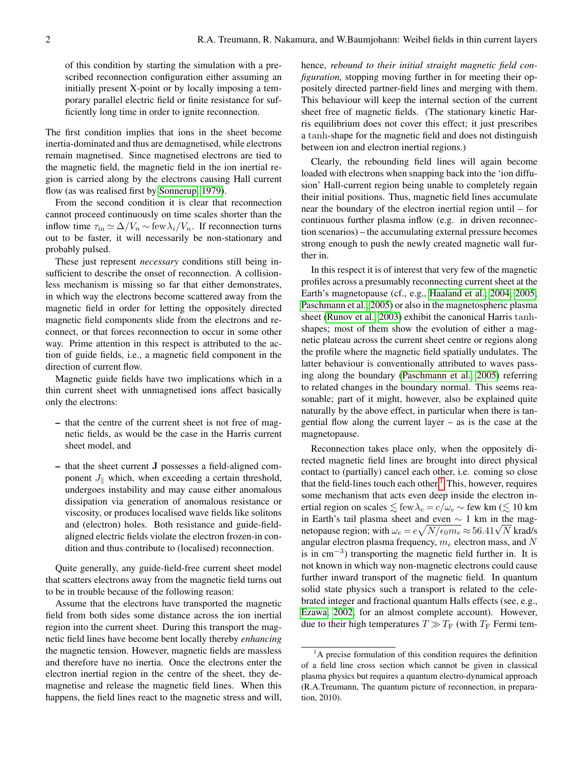of this condition by starting the simulation with a prescribed reconnection configuration either assuming an initially present X-point or by locally imposing a temporary parallel electric field or finite resistance for sufficiently long time in order to ignite reconnection.

The first condition implies that ions in the sheet become inertia-dominated and thus are demagnetised, while electrons remain magnetised. Since magnetised electrons are tied to the magnetic field, the magnetic field in the ion inertial region is carried along by the electrons causing Hall current flow (as was realised first by [Sonnerup, 1979\)](#page-8-14).

From the second condition it is clear that reconnection cannot proceed continuously on time scales shorter than the inflow time  $\tau_{\text{in}} \simeq \Delta/V_n \sim \text{few} \lambda_i/V_n$ . If reconnection turns out to be faster, it will necessarily be non-stationary and probably pulsed.

These just represent *necessary* conditions still being insufficient to describe the onset of reconnection. A collisionless mechanism is missing so far that either demonstrates, in which way the electrons become scattered away from the magnetic field in order for letting the oppositely directed magnetic field components slide from the electrons and reconnect, or that forces reconnection to occur in some other way. Prime attention in this respect is attributed to the action of guide fields, i.e., a magnetic field component in the direction of current flow.

Magnetic guide fields have two implications which in a thin current sheet with unmagnetised ions affect basically only the electrons:

- that the centre of the current sheet is not free of magnetic fields, as would be the case in the Harris current sheet model, and
- that the sheet current J possesses a field-aligned component  $J_{\parallel}$  which, when exceeding a certain threshold, undergoes instability and may cause either anomalous dissipation via generation of anomalous resistance or viscosity, or produces localised wave fields like solitons and (electron) holes. Both resistance and guide-fieldaligned electric fields violate the electron frozen-in condition and thus contribute to (localised) reconnection.

Quite generally, any guide-field-free current sheet model that scatters electrons away from the magnetic field turns out to be in trouble because of the following reason:

Assume that the electrons have transported the magnetic field from both sides some distance across the ion inertial region into the current sheet. During this transport the magnetic field lines have become bent locally thereby *enhancing* the magnetic tension. However, magnetic fields are massless and therefore have no inertia. Once the electrons enter the electron inertial region in the centre of the sheet, they demagnetise and release the magnetic field lines. When this happens, the field lines react to the magnetic stress and will,

hence, *rebound to their initial straight magnetic field configuration,* stopping moving further in for meeting their oppositely directed partner-field lines and merging with them. This behaviour will keep the internal section of the current sheet free of magnetic fields. (The stationary kinetic Harris equilibrium does not cover this effect; it just prescribes a tanh-shape for the magnetic field and does not distinguish between ion and electron inertial regions.)

Clearly, the rebounding field lines will again become loaded with electrons when snapping back into the 'ion diffusion' Hall-current region being unable to completely regain their initial positions. Thus, magnetic field lines accumulate near the boundary of the electron inertial region until – for continuous further plasma inflow (e.g. in driven reconnection scenarios) – the accumulating external pressure becomes strong enough to push the newly created magnetic wall further in.

In this respect it is of interest that very few of the magnetic profiles across a presumably reconnecting current sheet at the Earth's magnetopause (cf., e.g., [Haaland et al., 2004,](#page-8-15) [2005;](#page-8-16) [Paschmann et al., 2005\)](#page-8-17) or also in the magnetospheric plasma sheet [\(Runov et al., 2003\)](#page-8-7) exhibit the canonical Harris tanhshapes; most of them show the evolution of either a magnetic plateau across the current sheet centre or regions along the profile where the magnetic field spatially undulates. The latter behaviour is conventionally attributed to waves passing along the boundary [\(Paschmann et al., 2005\)](#page-8-17) referring to related changes in the boundary normal. This seems reasonable; part of it might, however, also be explained quite naturally by the above effect, in particular when there is tangential flow along the current layer  $-$  as is the case at the magnetopause.

Reconnection takes place only, when the oppositely directed magnetic field lines are brought into direct physical contact to (partially) cancel each other, i.e. coming so close that the field-lines touch each other. $<sup>1</sup>$  $<sup>1</sup>$  $<sup>1</sup>$  This, however, requires</sup> some mechanism that acts even deep inside the electron inertial region on scales  $\lesssim$  few  $\lambda_e = c/\omega_e \sim$  few km ( $\lesssim 10$  km in Earth's tail plasma sheet and even  $\sim$  1 km in the magin Earth s tail plasma sheet and even  $\sim 1$  km in the magnetopause region; with  $\omega_e = e \sqrt{N/\epsilon_0 m_e} \approx 56.41 \sqrt{N}$  krad/s angular electron plasma frequency,  $m_e$  electron mass, and  $N$ is in cm<sup>−</sup><sup>3</sup> ) transporting the magnetic field further in. It is not known in which way non-magnetic electrons could cause further inward transport of the magnetic field. In quantum solid state physics such a transport is related to the celebrated integer and fractional quantum Halls effects (see, e.g., [Ezawa, 2002,](#page-8-18) for an almost complete account). However, due to their high temperatures  $T \gg T_F$  (with  $T_F$  Fermi tem-

<span id="page-1-0"></span> ${}^{1}$ A precise formulation of this condition requires the definition of a field line cross section which cannot be given in classical plasma physics but requires a quantum electro-dynamical approach (R.A.Treumann, The quantum picture of reconnection, in preparation, 2010).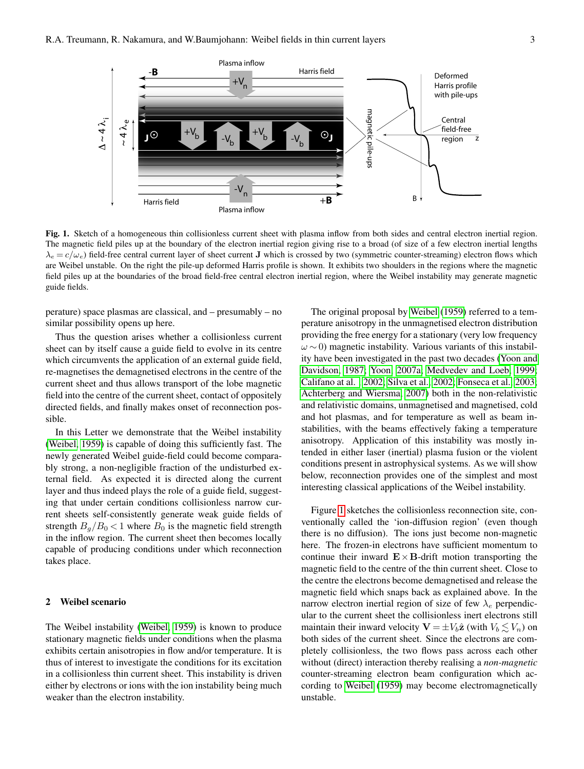

<span id="page-2-0"></span>Fig. 1. Sketch of a homogeneous thin collisionless current sheet with plasma inflow from both sides and central electron inertial region. The magnetic field piles up at the boundary of the electron inertial region giving rise to a broad (of size of a few electron inertial lengths  $\lambda_e = c/\omega_e$ ) field-free central current layer of sheet current **J** which is crossed by two (symmetric counter-streaming) electron flows which are Weibel unstable. On the right the pile-up deformed Harris profile is shown. It exhibits two shoulders in the regions where the magnetic field piles up at the boundaries of the broad field-free central electron inertial region, where the Weibel instability may generate magnetic guide fields.

perature) space plasmas are classical, and – presumably – no similar possibility opens up here.

Thus the question arises whether a collisionless current sheet can by itself cause a guide field to evolve in its centre which circumvents the application of an external guide field, re-magnetises the demagnetised electrons in the centre of the current sheet and thus allows transport of the lobe magnetic field into the centre of the current sheet, contact of oppositely directed fields, and finally makes onset of reconnection possible.

In this Letter we demonstrate that the Weibel instability [\(Weibel, 1959\)](#page-8-0) is capable of doing this sufficiently fast. The newly generated Weibel guide-field could become comparably strong, a non-negligible fraction of the undisturbed external field. As expected it is directed along the current layer and thus indeed plays the role of a guide field, suggesting that under certain conditions collisionless narrow current sheets self-consistently generate weak guide fields of strength  $B_q/B_0 < 1$  where  $B_0$  is the magnetic field strength in the inflow region. The current sheet then becomes locally capable of producing conditions under which reconnection takes place.

## 2 Weibel scenario

The Weibel instability [\(Weibel, 1959\)](#page-8-0) is known to produce stationary magnetic fields under conditions when the plasma exhibits certain anisotropies in flow and/or temperature. It is thus of interest to investigate the conditions for its excitation in a collisionless thin current sheet. This instability is driven either by electrons or ions with the ion instability being much weaker than the electron instability.

The original proposal by [Weibel](#page-8-0) [\(1959\)](#page-8-0) referred to a temperature anisotropy in the unmagnetised electron distribution providing the free energy for a stationary (very low frequency  $\omega$  ~ 0) magnetic instability. Various variants of this instability have been investigated in the past two decades [\(Yoon and](#page-8-19) [Davidson, 1987;](#page-8-19) [Yoon, 2007a;](#page-8-20) [Medvedev and Loeb, 1999;](#page-8-21) [Califano at al. , 2002;](#page-7-4) [Silva et al., 2002;](#page-8-22) [Fonseca et al., 2003;](#page-8-23) [Achterberg and Wiersma, 2007\)](#page-7-5) both in the non-relativistic and relativistic domains, unmagnetised and magnetised, cold and hot plasmas, and for temperature as well as beam instabilities, with the beams effectively faking a temperature anisotropy. Application of this instability was mostly intended in either laser (inertial) plasma fusion or the violent conditions present in astrophysical systems. As we will show below, reconnection provides one of the simplest and most interesting classical applications of the Weibel instability.

Figure [1](#page-2-0) sketches the collisionless reconnection site, conventionally called the 'ion-diffusion region' (even though there is no diffusion). The ions just become non-magnetic here. The frozen-in electrons have sufficient momentum to continue their inward  $\mathbf{E} \times \mathbf{B}$ -drift motion transporting the magnetic field to the centre of the thin current sheet. Close to the centre the electrons become demagnetised and release the magnetic field which snaps back as explained above. In the narrow electron inertial region of size of few  $\lambda_e$  perpendicular to the current sheet the collisionless inert electrons still maintain their inward velocity  $\mathbf{V} = \pm V_b \hat{\mathbf{z}}$  (with  $V_b \leq V_n$ ) on both sides of the current sheet. Since the electrons are completely collisionless, the two flows pass across each other without (direct) interaction thereby realising a *non-magnetic* counter-streaming electron beam configuration which according to [Weibel](#page-8-0) [\(1959\)](#page-8-0) may become electromagnetically unstable.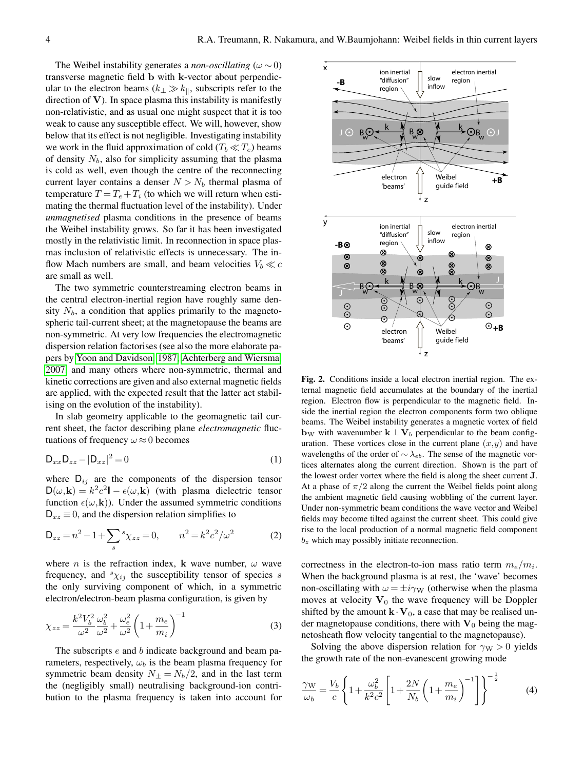The Weibel instability generates a *non-oscillating* ( $\omega \sim 0$ ) transverse magnetic field b with k-vector about perpendicular to the electron beams  $(k_\perp \gg k_\parallel)$ , subscripts refer to the direction of  $V$ ). In space plasma this instability is manifestly non-relativistic, and as usual one might suspect that it is too weak to cause any susceptible effect. We will, however, show below that its effect is not negligible. Investigating instability we work in the fluid approximation of cold  $(T_b \ll T_e)$  beams of density  $N_b$ , also for simplicity assuming that the plasma is cold as well, even though the centre of the reconnecting current layer contains a denser  $N > N_b$  thermal plasma of temperature  $T = T_e + T_i$  (to which we will return when estimating the thermal fluctuation level of the instability). Under *unmagnetised* plasma conditions in the presence of beams the Weibel instability grows. So far it has been investigated mostly in the relativistic limit. In reconnection in space plasmas inclusion of relativistic effects is unnecessary. The inflow Mach numbers are small, and beam velocities  $V_b \ll c$ are small as well.

The two symmetric counterstreaming electron beams in the central electron-inertial region have roughly same density  $N_b$ , a condition that applies primarily to the magnetospheric tail-current sheet; at the magnetopause the beams are non-symmetric. At very low frequencies the electromagnetic dispersion relation factorises (see also the more elaborate papers by [Yoon and Davidson, 1987;](#page-8-19) [Achterberg and Wiersma,](#page-7-5) [2007,](#page-7-5) and many others where non-symmetric, thermal and kinetic corrections are given and also external magnetic fields are applied, with the expected result that the latter act stabilising on the evolution of the instability).

In slab geometry applicable to the geomagnetic tail current sheet, the factor describing plane *electromagnetic* fluctuations of frequency  $\omega \approx 0$  becomes

$$
\mathsf{D}_{xx}\mathsf{D}_{zz} - |\mathsf{D}_{xz}|^2 = 0\tag{1}
$$

where  $D_{ij}$  are the components of the dispersion tensor  $D(\omega, \mathbf{k}) = k^2 c^2 \mathbf{I} - \epsilon(\omega, \mathbf{k})$  (with plasma dielectric tensor function  $\epsilon(\omega, \mathbf{k})$ ). Under the assumed symmetric conditions  $D_{xz} \equiv 0$ , and the dispersion relation simplifies to

$$
D_{zz} = n^2 - 1 + \sum_{s} s_{\chi_{zz}} = 0, \qquad n^2 = k^2 c^2 / \omega^2 \tag{2}
$$

where *n* is the refraction index, **k** wave number,  $\omega$  wave frequency, and  $s_{\chi_{ij}}$  the susceptibility tensor of species s the only surviving component of which, in a symmetric electron/electron-beam plasma configuration, is given by

$$
\chi_{zz} = \frac{k^2 V_b^2}{\omega^2} \frac{\omega_b^2}{\omega^2} + \frac{\omega_e^2}{\omega^2} \left( 1 + \frac{m_e}{m_i} \right)^{-1} \tag{3}
$$

The subscripts e and b indicate background and beam parameters, respectively,  $\omega_b$  is the beam plasma frequency for symmetric beam density  $N_{\pm} = N_b/2$ , and in the last term the (negligibly small) neutralising background-ion contribution to the plasma frequency is taken into account for



<span id="page-3-0"></span>Fig. 2. Conditions inside a local electron inertial region. The external magnetic field accumulates at the boundary of the inertial region. Electron flow is perpendicular to the magnetic field. Inside the inertial region the electron components form two oblique beams. The Weibel instability generates a magnetic vortex of field  **with wavenumber**  $**k** \perp **V**<sub>b</sub>$  **perpendicular to the beam config**uration. These vortices close in the current plane  $(x, y)$  and have wavelengths of the order of  $\sim \lambda_{eb}$ . The sense of the magnetic vortices alternates along the current direction. Shown is the part of the lowest order vortex where the field is along the sheet current J. At a phase of  $\pi/2$  along the current the Weibel fields point along the ambient magnetic field causing wobbling of the current layer. Under non-symmetric beam conditions the wave vector and Weibel fields may become tilted against the current sheet. This could give rise to the local production of a normal magnetic field component  $b<sub>z</sub>$  which may possibly initiate reconnection.

correctness in the electron-to-ion mass ratio term  $m_e/m_i$ . When the background plasma is at rest, the 'wave' becomes non-oscillating with  $\omega = \pm i \gamma_W$  (otherwise when the plasma moves at velocity  $V_0$  the wave frequency will be Doppler shifted by the amount  $\mathbf{k} \cdot \mathbf{V}_0$ , a case that may be realised under magnetopause conditions, there with  $V_0$  being the magnetosheath flow velocity tangential to the magnetopause).

Solving the above dispersion relation for  $\gamma_W > 0$  yields the growth rate of the non-evanescent growing mode

$$
\frac{\gamma_{\rm W}}{\omega_b} = \frac{V_b}{c} \left\{ 1 + \frac{\omega_b^2}{k^2 c^2} \left[ 1 + \frac{2N}{N_b} \left( 1 + \frac{m_e}{m_i} \right)^{-1} \right] \right\}^{-\frac{1}{2}}
$$
(4)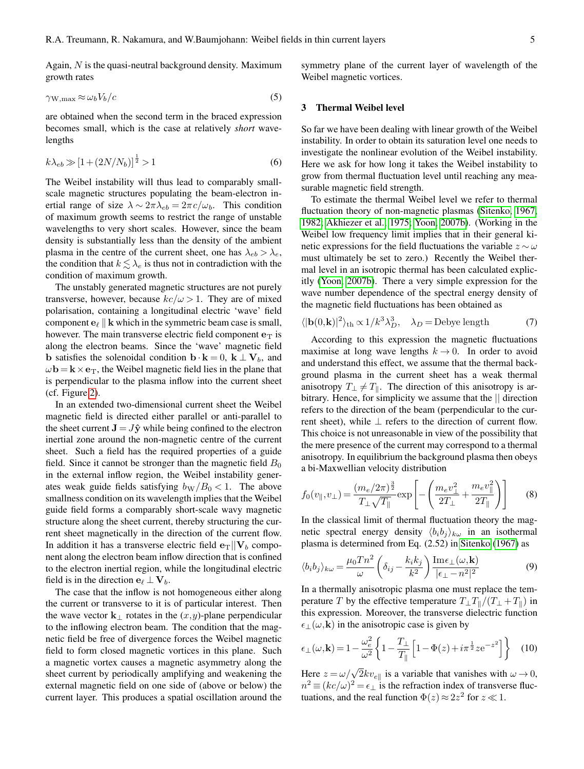Again,  $N$  is the quasi-neutral background density. Maximum growth rates

$$
\gamma_{\rm W,max} \approx \omega_b V_b / c \tag{5}
$$

are obtained when the second term in the braced expression becomes small, which is the case at relatively *short* wavelengths

$$
k\lambda_{eb} \gg [1 + (2N/N_b)]^{\frac{1}{2}} > 1
$$
\n(6)

The Weibel instability will thus lead to comparably smallscale magnetic structures populating the beam-electron inertial range of size  $\lambda \sim 2\pi\lambda_{eb} = 2\pi c/\omega_b$ . This condition of maximum growth seems to restrict the range of unstable wavelengths to very short scales. However, since the beam density is substantially less than the density of the ambient plasma in the centre of the current sheet, one has  $\lambda_{eb} > \lambda_e$ , the condition that  $k \lesssim \lambda_e$  is thus not in contradiction with the condition of maximum growth.

The unstably generated magnetic structures are not purely transverse, however, because  $kc/\omega > 1$ . They are of mixed polarisation, containing a longitudinal electric 'wave' field component  $e_\ell \parallel \mathbf{k}$  which in the symmetric beam case is small, however. The main transverse electric field component  $e_T$  is along the electron beams. Since the 'wave' magnetic field **b** satisfies the solenoidal condition  $\mathbf{b} \cdot \mathbf{k} = 0$ ,  $\mathbf{k} \perp \mathbf{V}_b$ , and  $\omega$ **b** = **k** × **e**<sub>T</sub>, the Weibel magnetic field lies in the plane that is perpendicular to the plasma inflow into the current sheet (cf. Figure [2\)](#page-3-0).

In an extended two-dimensional current sheet the Weibel magnetic field is directed either parallel or anti-parallel to the sheet current  $\mathbf{J} = J\hat{\mathbf{y}}$  while being confined to the electron inertial zone around the non-magnetic centre of the current sheet. Such a field has the required properties of a guide field. Since it cannot be stronger than the magnetic field  $B_0$ in the external inflow region, the Weibel instability generates weak guide fields satisfying  $b<sub>W</sub>/B<sub>0</sub> < 1$ . The above smallness condition on its wavelength implies that the Weibel guide field forms a comparably short-scale wavy magnetic structure along the sheet current, thereby structuring the current sheet magnetically in the direction of the current flow. In addition it has a transverse electric field  $e_T||V_b$  component along the electron beam inflow direction that is confined to the electron inertial region, while the longitudinal electric field is in the direction  $e_\ell \perp V_b$ .

The case that the inflow is not homogeneous either along the current or transverse to it is of particular interest. Then the wave vector  $\mathbf{k}_{\perp}$  rotates in the  $(x, y)$ -plane perpendicular to the inflowing electron beam. The condition that the magnetic field be free of divergence forces the Weibel magnetic field to form closed magnetic vortices in this plane. Such a magnetic vortex causes a magnetic asymmetry along the sheet current by periodically amplifying and weakening the external magnetic field on one side of (above or below) the current layer. This produces a spatial oscillation around the symmetry plane of the current layer of wavelength of the Weibel magnetic vortices.

#### 3 Thermal Weibel level

So far we have been dealing with linear growth of the Weibel instability. In order to obtain its saturation level one needs to investigate the nonlinear evolution of the Weibel instability. Here we ask for how long it takes the Weibel instability to grow from thermal fluctuation level until reaching any measurable magnetic field strength.

To estimate the thermal Weibel level we refer to thermal fluctuation theory of non-magnetic plasmas [\(Sitenko, 1967,](#page-8-24) [1982;](#page-8-25) [Akhiezer et al., 1975;](#page-7-6) [Yoon, 2007b\)](#page-8-26). (Working in the Weibel low frequency limit implies that in their general kinetic expressions for the field fluctuations the variable  $z \sim \omega$ must ultimately be set to zero.) Recently the Weibel thermal level in an isotropic thermal has been calculated explicitly [\(Yoon, 2007b\)](#page-8-26). There a very simple expression for the wave number dependence of the spectral energy density of the magnetic field fluctuations has been obtained as

$$
\langle |\mathbf{b}(0,\mathbf{k})|^2 \rangle_{\text{th}} \propto 1/k^3 \lambda_D^3, \quad \lambda_D = \text{Debye length} \tag{7}
$$

According to this expression the magnetic fluctuations maximise at long wave lengths  $k \rightarrow 0$ . In order to avoid and understand this effect, we assume that the thermal background plasma in the current sheet has a weak thermal anisotropy  $T_{\perp} \neq T_{\parallel}$ . The direction of this anisotropy is arbitrary. Hence, for simplicity we assume that the || direction refers to the direction of the beam (perpendicular to the current sheet), while  $\perp$  refers to the direction of current flow. This choice is not unreasonable in view of the possibility that the mere presence of the current may correspond to a thermal anisotropy. In equilibrium the background plasma then obeys a bi-Maxwellian velocity distribution

$$
f_0(v_{\parallel}, v_{\perp}) = \frac{(m_e/2\pi)^{\frac{3}{2}}}{T_{\perp}\sqrt{T_{\parallel}}} \exp\left[-\left(\frac{m_e v_{\perp}^2}{2T_{\perp}} + \frac{m_e v_{\parallel}^2}{2T_{\parallel}}\right)\right]
$$
(8)

In the classical limit of thermal fluctuation theory the magnetic spectral energy density  $\langle b_i b_j \rangle_{k\omega}$  in an isothermal plasma is determined from Eq. (2.52) in [Sitenko](#page-8-24) [\(1967\)](#page-8-24) as

$$
\langle b_i b_j \rangle_{k\omega} = \frac{\mu_0 T n^2}{\omega} \left( \delta_{ij} - \frac{k_i k_j}{k^2} \right) \frac{\text{Im} \epsilon_{\perp}(\omega, \mathbf{k})}{|\epsilon_{\perp} - n^2|^2} \tag{9}
$$

In a thermally anisotropic plasma one must replace the temperature T by the effective temperature  $T_{\perp}T_{\parallel}/(T_{\perp} + T_{\parallel})$  in this expression. Moreover, the transverse dielectric function  $\epsilon_{\perp}(\omega, \mathbf{k})$  in the anisotropic case is given by

$$
\epsilon_{\perp}(\omega, \mathbf{k}) = 1 - \frac{\omega_e^2}{\omega^2} \left\{ 1 - \frac{T_{\perp}}{T_{\parallel}} \left[ 1 - \Phi(z) + i\pi^{\frac{1}{2}} z e^{-z^2} \right] \right\}
$$
 (10)

Here  $z = \omega / \sqrt{2k}v_{e\parallel}$  is a variable that vanishes with  $\omega \rightarrow 0$ ,  $n^2 \equiv (kc/\omega)^2 = \epsilon_{\perp}$  is the refraction index of transverse fluctuations, and the real function  $\Phi(z) \approx 2z^2$  for  $z \ll 1$ .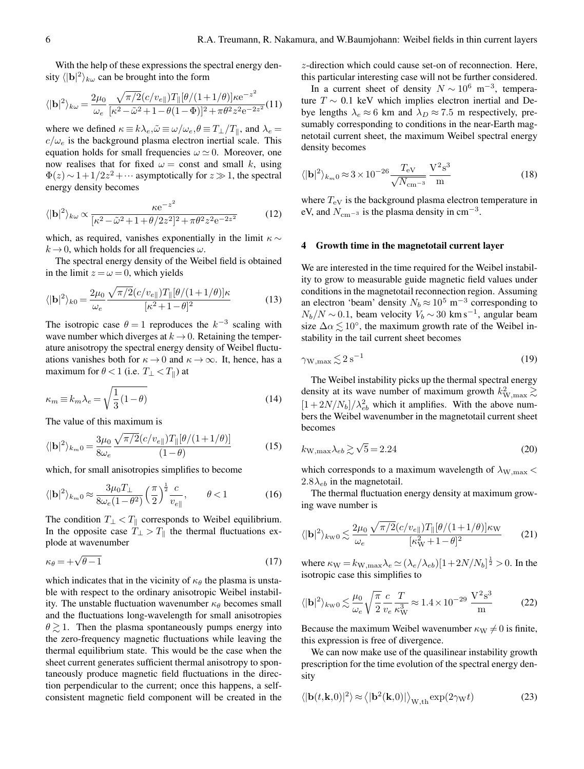With the help of these expressions the spectral energy density  $\langle |{\bf b}|^2 \rangle_{k\omega}$  can be brought into the form

$$
\langle |\mathbf{b}|^2 \rangle_{k\omega} = \frac{2\mu_0}{\omega_e} \frac{\sqrt{\pi/2} (c/v_{e\parallel}) T_{\parallel} [\theta/(1+1/\theta)] \kappa e^{-z^2}}{[\kappa^2 - \tilde{\omega}^2 + 1 - \theta (1-\Phi)]^2 + \pi \theta^2 z^2 e^{-2z^2}} (11)
$$

where we defined  $\kappa \equiv k \lambda_e, \tilde{\omega} \equiv \omega / \omega_e, \theta \equiv T_{\perp}/T_{\parallel}$ , and  $\lambda_e =$  $c/\omega_e$  is the background plasma electron inertial scale. This equation holds for small frequencies  $\omega \simeq 0$ . Moreover, one now realises that for fixed  $\omega$  = const and small k, using  $\Phi(z) \sim 1 + 1/2z^2 + \cdots$  asymptotically for  $z \gg 1$ , the spectral energy density becomes

$$
\langle |\mathbf{b}|^2 \rangle_{k\omega} \propto \frac{\kappa e^{-z^2}}{[\kappa^2 - \tilde{\omega}^2 + 1 + \theta/2z^2]^2 + \pi \theta^2 z^2 e^{-2z^2}}
$$
(12)

which, as required, vanishes exponentially in the limit  $\kappa \sim$  $k \rightarrow 0$ , which holds for all frequencies  $\omega$ .

The spectral energy density of the Weibel field is obtained in the limit  $z = \omega = 0$ , which yields

$$
\langle |\mathbf{b}|^2 \rangle_{k0} = \frac{2\mu_0}{\omega_e} \frac{\sqrt{\pi/2} (c/v_{e\parallel}) T_{\parallel} [\theta/(1+1/\theta)] \kappa}{[\kappa^2 + 1 - \theta]^2}
$$
(13)

The isotropic case  $\theta = 1$  reproduces the  $k^{-3}$  scaling with wave number which diverges at  $k \rightarrow 0$ . Retaining the temperature anisotropy the spectral energy density of Weibel fluctuations vanishes both for  $\kappa \to 0$  and  $\kappa \to \infty$ . It, hence, has a maximum for  $\theta < 1$  (i.e.  $T_{\perp} < T_{\parallel}$ ) at

$$
\kappa_m \equiv k_m \lambda_e = \sqrt{\frac{1}{3}(1-\theta)}\tag{14}
$$

The value of this maximum is

$$
\langle |\mathbf{b}|^2 \rangle_{k_m 0} = \frac{3\mu_0}{8\omega_e} \frac{\sqrt{\pi/2} (c/v_{e\parallel}) T_{\parallel} [\theta/(1+1/\theta)]}{(1-\theta)} \tag{15}
$$

which, for small anisotropies simplifies to become

$$
\langle |\mathbf{b}|^2 \rangle_{k_m 0} \approx \frac{3\mu_0 T_\perp}{8\omega_e (1 - \theta^2)} \left(\frac{\pi}{2}\right)^{\frac{1}{2}} \frac{c}{v_{e\parallel}}, \qquad \theta < 1 \tag{16}
$$

The condition  $T_{\perp} < T_{\parallel}$  corresponds to Weibel equilibrium. In the opposite case  $T_{\perp} > T_{\parallel}$  the thermal fluctuations explode at wavenumber

$$
\kappa_{\theta} = +\sqrt{\theta - 1} \tag{17}
$$

which indicates that in the vicinity of  $\kappa_{\theta}$  the plasma is unstable with respect to the ordinary anisotropic Weibel instability. The unstable fluctuation wavenumber  $\kappa_{\theta}$  becomes small and the fluctuations long-wavelength for small anisotropies  $\theta \geq 1$ . Then the plasma spontaneously pumps energy into the zero-frequency magnetic fluctuations while leaving the thermal equilibrium state. This would be the case when the sheet current generates sufficient thermal anisotropy to spontaneously produce magnetic field fluctuations in the direction perpendicular to the current; once this happens, a selfconsistent magnetic field component will be created in the

z-direction which could cause set-on of reconnection. Here, this particular interesting case will not be further considered.

In a current sheet of density  $N \sim 10^6$  m<sup>-3</sup>, temperature  $T \sim 0.1$  keV which implies electron inertial and Debye lengths  $\lambda_e \approx 6$  km and  $\lambda_D \approx 7.5$  m respectively, presumably corresponding to conditions in the near-Earth magnetotail current sheet, the maximum Weibel spectral energy density becomes

$$
\langle |\mathbf{b}|^2 \rangle_{k_m 0} \approx 3 \times 10^{-26} \frac{T_{\rm eV}}{\sqrt{N_{\rm cm^{-3}}}} \frac{\mathbf{V}^2 \mathbf{s}^3}{\mathbf{m}} \tag{18}
$$

where  $T_{\text{eV}}$  is the background plasma electron temperature in eV, and  $N_{\text{cm}-3}$  is the plasma density in cm<sup>-3</sup>.

## 4 Growth time in the magnetotail current layer

We are interested in the time required for the Weibel instability to grow to measurable guide magnetic field values under conditions in the magnetotail reconnection region. Assuming an electron 'beam' density  $N_b \approx 10^5$  m<sup>-3</sup> corresponding to  $N_b/N \sim 0.1$ , beam velocity  $V_b \sim 30 \text{ km s}^{-1}$ , angular beam size  $\Delta \alpha \lesssim 10^{\circ}$ , the maximum growth rate of the Weibel instability in the tail current sheet becomes

$$
\gamma_{\rm W,max} \lesssim 2 \,\rm s^{-1} \tag{19}
$$

The Weibel instability picks up the thermal spectral energy density at its wave number of maximum growth  $k_{\text{W,max}}^2 \gtrsim$  $[1 + 2N/N_b]/\lambda_{eb}^2$  which it amplifies. With the above numbers the Weibel wavenumber in the magnetotail current sheet becomes

$$
k_{\rm W,max} \lambda_{eb} \gtrsim \sqrt{5} = 2.24\tag{20}
$$

which corresponds to a maximum wavelength of  $\lambda_{\text{W,max}}$  <  $2.8\lambda_{eb}$  in the magnetotail.

The thermal fluctuation energy density at maximum growing wave number is

$$
\langle |\mathbf{b}|^2 \rangle_{k_{\mathrm{W}}0} \lesssim \frac{2\mu_0}{\omega_e} \frac{\sqrt{\pi/2} (c/v_{e\parallel}) T_{\parallel} [\theta/(1+1/\theta)] \kappa_{\mathrm{W}}}{[\kappa_{\mathrm{W}}^2 + 1 - \theta]^2} \tag{21}
$$

where  $\kappa_{\rm W} = k_{\rm W, max} \lambda_e \simeq (\lambda_e / \lambda_{eb}) [1 + 2N/N_b]^{\frac{1}{2}} > 0$ . In the isotropic case this simplifies to

$$
\langle |\mathbf{b}|^2 \rangle_{k \le 0} \lesssim \frac{\mu_0}{\omega_e} \sqrt{\frac{\pi}{2}} \frac{c}{v_e} \frac{T}{\kappa_W^3} \approx 1.4 \times 10^{-29} \frac{\mathrm{V}^2 \mathrm{s}^3}{\mathrm{m}} \tag{22}
$$

Because the maximum Weibel wavenumber  $\kappa_{\rm W}\neq 0$  is finite, this expression is free of divergence.

We can now make use of the quasilinear instability growth prescription for the time evolution of the spectral energy density

$$
\langle |\mathbf{b}(t,\mathbf{k},0)|^2 \rangle \approx \langle |\mathbf{b}^2(\mathbf{k},0)| \rangle_{\text{W},\text{th}} \exp(2\gamma_{\text{W}}t)
$$
 (23)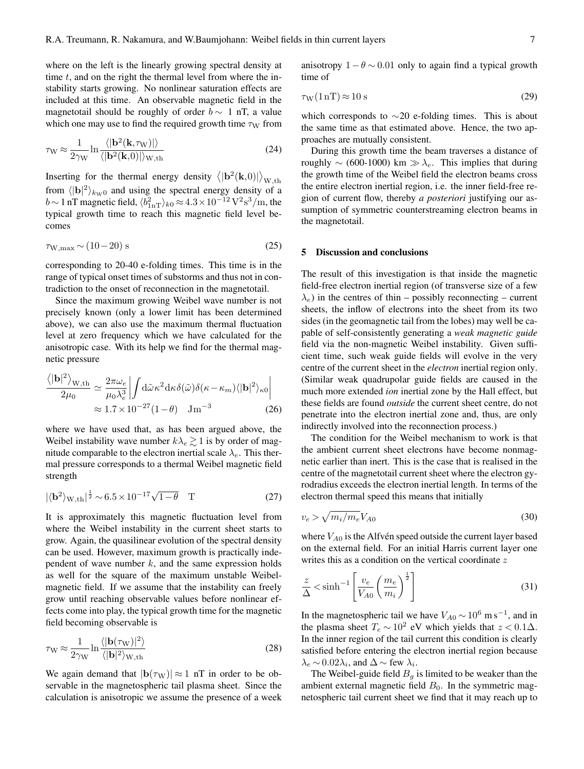where on the left is the linearly growing spectral density at time  $t$ , and on the right the thermal level from where the instability starts growing. No nonlinear saturation effects are included at this time. An observable magnetic field in the magnetotail should be roughly of order  $b \sim 1$  nT, a value which one may use to find the required growth time  $\tau_W$  from

$$
\tau_{\rm W} \approx \frac{1}{2\gamma_{\rm W}} \ln \frac{\langle |\mathbf{b}^2(\mathbf{k}, \tau_{\rm W})| \rangle}{\langle |\mathbf{b}^2(\mathbf{k}, 0)| \rangle_{\rm W, th}}
$$
(24)

Inserting for the thermal energy density  $\langle |{\bf b}^2({\bf k},0)| \rangle_{\text{W},\text{th}}$ from  $\langle |{\bf b}|^2 \rangle_{k_{\rm W}0}$  and using the spectral energy density of a  $b \sim 1$  nT magnetic field,  $\langle b_{1nT}^2 \rangle_{k0} \approx 4.3 \times 10^{-12} \,\mathrm{V}^2\mathrm{s}^3/\mathrm{m}$ , the typical growth time to reach this magnetic field level becomes

$$
\tau_{\text{W,max}} \sim (10 - 20) \text{ s} \tag{25}
$$

corresponding to 20-40 e-folding times. This time is in the range of typical onset times of substorms and thus not in contradiction to the onset of reconnection in the magnetotail.

Since the maximum growing Weibel wave number is not precisely known (only a lower limit has been determined above), we can also use the maximum thermal fluctuation level at zero frequency which we have calculated for the anisotropic case. With its help we find for the thermal magnetic pressure

$$
\frac{\langle |\mathbf{b}|^2 \rangle_{\mathrm{W,th}}}{2\mu_0} \simeq \frac{2\pi\omega_e}{\mu_0 \lambda_e^3} \left| \int d\tilde{\omega} \kappa^2 d\kappa \delta(\tilde{\omega}) \delta(\kappa - \kappa_m) \langle |\mathbf{b}|^2 \rangle_{\kappa 0} \right|
$$
  

$$
\approx 1.7 \times 10^{-27} (1 - \theta) \quad \mathrm{J m}^{-3}
$$
 (26)

where we have used that, as has been argued above, the Weibel instability wave number  $k\lambda_e \gtrsim 1$  is by order of magnitude comparable to the electron inertial scale  $\lambda_e$ . This thermal pressure corresponds to a thermal Weibel magnetic field strength

$$
|\langle \mathbf{b}^2 \rangle_{\text{W},\text{th}}|^{\frac{1}{2}} \sim 6.5 \times 10^{-17} \sqrt{1-\theta} \quad \text{T}
$$
 (27)

It is approximately this magnetic fluctuation level from where the Weibel instability in the current sheet starts to grow. Again, the quasilinear evolution of the spectral density can be used. However, maximum growth is practically independent of wave number  $k$ , and the same expression holds as well for the square of the maximum unstable Weibelmagnetic field. If we assume that the instability can freely grow until reaching observable values before nonlinear effects come into play, the typical growth time for the magnetic field becoming observable is

$$
\tau_{\rm W} \approx \frac{1}{2\gamma_{\rm W}} \ln \frac{\langle |\mathbf{b}(\tau_{\rm W})|^2 \rangle}{\langle |\mathbf{b}|^2 \rangle_{\rm W, th}}
$$
(28)

We again demand that  $|\mathbf{b}(\tau_{\text{W}})| \approx 1$  nT in order to be observable in the magnetospheric tail plasma sheet. Since the calculation is anisotropic we assume the presence of a week anisotropy  $1 - \theta \sim 0.01$  only to again find a typical growth time of

$$
\tau_{\rm W}(1\,\rm nT) \approx 10\,\rm s\tag{29}
$$

which corresponds to  $\sim$ 20 e-folding times. This is about the same time as that estimated above. Hence, the two approaches are mutually consistent.

During this growth time the beam traverses a distance of roughly  $\sim$  (600-1000) km  $\gg \lambda_e$ . This implies that during the growth time of the Weibel field the electron beams cross the entire electron inertial region, i.e. the inner field-free region of current flow, thereby *a posteriori* justifying our assumption of symmetric counterstreaming electron beams in the magnetotail.

### 5 Discussion and conclusions

The result of this investigation is that inside the magnetic field-free electron inertial region (of transverse size of a few  $\lambda_e$ ) in the centres of thin – possibly reconnecting – current sheets, the inflow of electrons into the sheet from its two sides (in the geomagnetic tail from the lobes) may well be capable of self-consistently generating a *weak magnetic guide* field via the non-magnetic Weibel instability. Given sufficient time, such weak guide fields will evolve in the very centre of the current sheet in the *electron* inertial region only. (Similar weak quadrupolar guide fields are caused in the much more extended *ion* inertial zone by the Hall effect, but these fields are found *outside* the current sheet centre, do not penetrate into the electron inertial zone and, thus, are only indirectly involved into the reconnection process.)

The condition for the Weibel mechanism to work is that the ambient current sheet electrons have become nonmagnetic earlier than inert. This is the case that is realised in the centre of the magnetotail current sheet where the electron gyrodradius exceeds the electron inertial length. In terms of the electron thermal speed this means that initially

$$
v_e > \sqrt{m_i/m_e} V_{A0} \tag{30}
$$

where  $V_{A0}$  is the Alfvén speed outside the current layer based on the external field. For an initial Harris current layer one writes this as a condition on the vertical coordinate z

$$
\frac{z}{\Delta} < \sinh^{-1} \left[ \frac{v_e}{V_{A0}} \left( \frac{m_e}{m_i} \right)^{\frac{1}{2}} \right] \tag{31}
$$

In the magnetospheric tail we have  $V_{A0} \sim 10^6$  m s<sup>-1</sup>, and in the plasma sheet  $T_e \sim 10^2$  eV which yields that  $z < 0.1\Delta$ . In the inner region of the tail current this condition is clearly satisfied before entering the electron inertial region because  $\lambda_e \sim 0.02\lambda_i$ , and  $\Delta \sim$  few  $\lambda_i$ .

The Weibel-guide field  $B<sub>g</sub>$  is limited to be weaker than the ambient external magnetic field  $B_0$ . In the symmetric magnetospheric tail current sheet we find that it may reach up to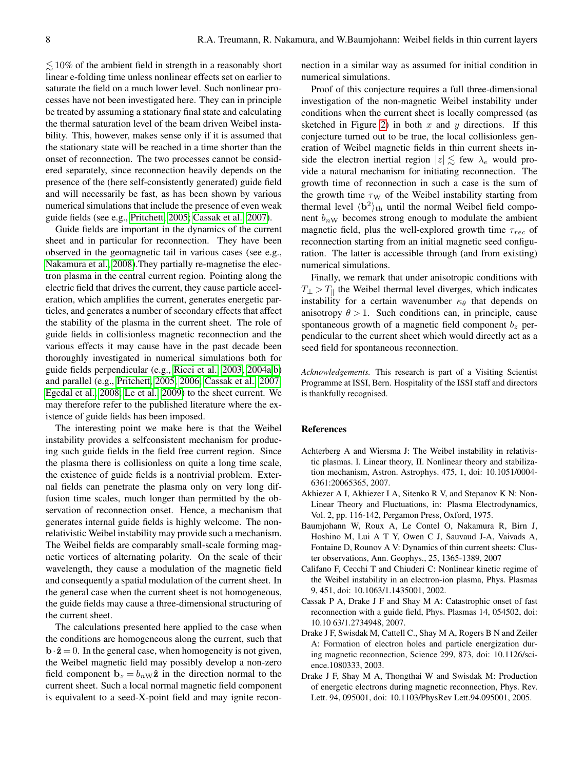$\lesssim$  10% of the ambient field in strength in a reasonably short linear e-folding time unless nonlinear effects set on earlier to saturate the field on a much lower level. Such nonlinear processes have not been investigated here. They can in principle be treated by assuming a stationary final state and calculating the thermal saturation level of the beam driven Weibel instability. This, however, makes sense only if it is assumed that the stationary state will be reached in a time shorter than the onset of reconnection. The two processes cannot be considered separately, since reconnection heavily depends on the presence of the (here self-consistently generated) guide field and will necessarily be fast, as has been shown by various numerical simulations that include the presence of even weak guide fields (see e.g., [Pritchett, 2005;](#page-8-2) [Cassak et al., 2007\)](#page-7-0).

Guide fields are important in the dynamics of the current sheet and in particular for reconnection. They have been observed in the geomagnetic tail in various cases (see e.g., [Nakamura et al., 2008\)](#page-8-27).They partially re-magnetise the electron plasma in the central current region. Pointing along the electric field that drives the current, they cause particle acceleration, which amplifies the current, generates energetic particles, and generates a number of secondary effects that affect the stability of the plasma in the current sheet. The role of guide fields in collisionless magnetic reconnection and the various effects it may cause have in the past decade been thoroughly investigated in numerical simulations both for guide fields perpendicular (e.g., [Ricci et al., 2003,](#page-8-28) [2004a,](#page-8-29)[b\)](#page-8-30) and parallel (e.g., [Pritchett, 2005,](#page-8-2) [2006;](#page-8-3) [Cassak et al., 2007;](#page-7-0) [Egedal et al., 2008;](#page-8-31) [Le et al., 2009\)](#page-8-32) to the sheet current. We may therefore refer to the published literature where the existence of guide fields has been imposed.

The interesting point we make here is that the Weibel instability provides a selfconsistent mechanism for producing such guide fields in the field free current region. Since the plasma there is collisionless on quite a long time scale, the existence of guide fields is a nontrivial problem. External fields can penetrate the plasma only on very long diffusion time scales, much longer than permitted by the observation of reconnection onset. Hence, a mechanism that generates internal guide fields is highly welcome. The nonrelativistic Weibel instability may provide such a mechanism. The Weibel fields are comparably small-scale forming magnetic vortices of alternating polarity. On the scale of their wavelength, they cause a modulation of the magnetic field and consequently a spatial modulation of the current sheet. In the general case when the current sheet is not homogeneous, the guide fields may cause a three-dimensional structuring of the current sheet.

The calculations presented here applied to the case when the conditions are homogeneous along the current, such that  $\mathbf{b} \cdot \hat{\mathbf{z}} = 0$ . In the general case, when homogeneity is not given, the Weibel magnetic field may possibly develop a non-zero field component  $\mathbf{b}_z = b_n \mathbf{w} \hat{\mathbf{z}}$  in the direction normal to the current sheet. Such a local normal magnetic field component is equivalent to a seed-X-point field and may ignite reconnection in a similar way as assumed for initial condition in numerical simulations.

Proof of this conjecture requires a full three-dimensional investigation of the non-magnetic Weibel instability under conditions when the current sheet is locally compressed (as sketched in Figure [2\)](#page-3-0) in both  $x$  and  $y$  directions. If this conjecture turned out to be true, the local collisionless generation of Weibel magnetic fields in thin current sheets inside the electron inertial region  $|z| \lesssim$  few  $\lambda_e$  would provide a natural mechanism for initiating reconnection. The growth time of reconnection in such a case is the sum of the growth time  $\tau_W$  of the Weibel instability starting from thermal level  $\langle \mathbf{b}^2 \rangle_{\text{th}}$  until the normal Weibel field component  $b_{nW}$  becomes strong enough to modulate the ambient magnetic field, plus the well-explored growth time  $\tau_{rec}$  of reconnection starting from an initial magnetic seed configuration. The latter is accessible through (and from existing) numerical simulations.

Finally, we remark that under anisotropic conditions with  $T_{\perp} > T_{\parallel}$  the Weibel thermal level diverges, which indicates instability for a certain wavenumber  $\kappa_{\theta}$  that depends on anisotropy  $\theta > 1$ . Such conditions can, in principle, cause spontaneous growth of a magnetic field component  $b<sub>z</sub>$  perpendicular to the current sheet which would directly act as a seed field for spontaneous reconnection.

*Acknowledgements.* This research is part of a Visiting Scientist Programme at ISSI, Bern. Hospitality of the ISSI staff and directors is thankfully recognised.

#### References

- <span id="page-7-5"></span>Achterberg A and Wiersma J: The Weibel instability in relativistic plasmas. I. Linear theory, II. Nonlinear theory and stabilization mechanism, Astron. Astrophys. 475, 1, doi: 10.1051/0004- 6361:20065365, 2007.
- <span id="page-7-6"></span>Akhiezer A I, Akhiezer I A, Sitenko R V, and Stepanov K N: Non-Linear Theory and Fluctuations, in: Plasma Electrodynamics, Vol. 2, pp. 116-142, Pergamon Press, Oxford, 1975.
- <span id="page-7-3"></span>Baumjohann W, Roux A, Le Contel O, Nakamura R, Birn J, Hoshino M, Lui A T Y, Owen C J, Sauvaud J-A, Vaivads A, Fontaine D, Rounov A V: Dynamics of thin current sheets: Cluster observations, Ann. Geophys., 25, 1365-1389, 2007
- <span id="page-7-4"></span>Califano F, Cecchi T and Chiuderi C: Nonlinear kinetic regime of the Weibel instability in an electron-ion plasma, Phys. Plasmas 9, 451, doi: 10.1063/1.1435001, 2002.
- <span id="page-7-0"></span>Cassak P A, Drake J F and Shay M A: Catastrophic onset of fast reconnection with a guide field, Phys. Plasmas 14, 054502, doi: 10.10 63/1.2734948, 2007.
- <span id="page-7-1"></span>Drake J F, Swisdak M, Cattell C., Shay M A, Rogers B N and Zeiler A: Formation of electron holes and particle energization during magnetic reconnection, Science 299, 873, doi: 10.1126/science.1080333, 2003.
- <span id="page-7-2"></span>Drake J F, Shay M A, Thongthai W and Swisdak M: Production of energetic electrons during magnetic reconnection, Phys. Rev. Lett. 94, 095001, doi: 10.1103/PhysRev Lett.94.095001, 2005.